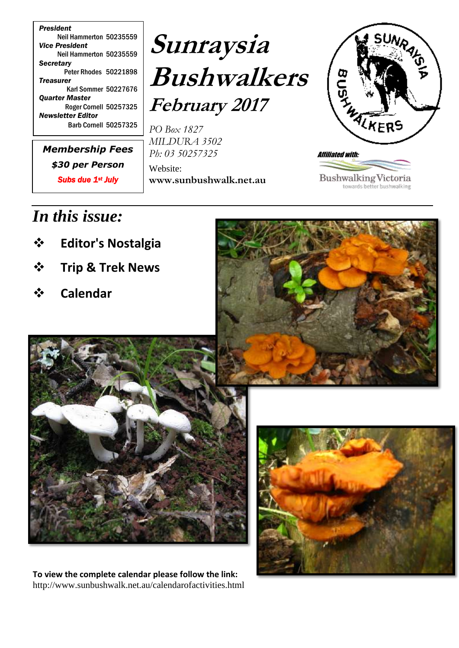*President* Neil Hammerton 50235559 *Vice President* Neil Hammerton 50235559 *Secretary* Peter Rhodes 50221898 *Treasurer* Karl Sommer 50227676 *Quarter Master* Roger Cornell 50257325 *Newsletter Editor* Barb Cornell 50257325

*Membership Fees \$30 per Person Subs due 1st July*

# **Sunraysia Bushwalkers February 2017**

*PO Box 1827 MILDURA 3502 Ph: 03 50257325*

Website: **www.sunbushwalk.net.au**



**Bushwalking Victoria** towards better bushwalking

# *In this issue:*

- **Editor's Nostalgia**
- **Trip & Trek News**
- **Calendar**





**To view the complete calendar please follow the link:** http://www.sunbushwalk.net.au/calendarofactivities.html

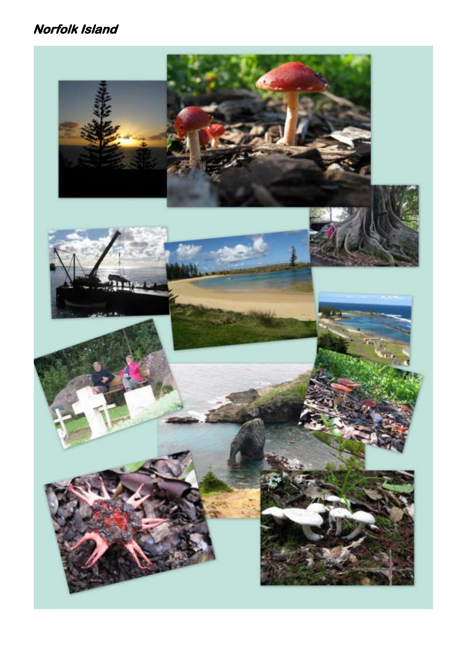### **Norfolk Island**

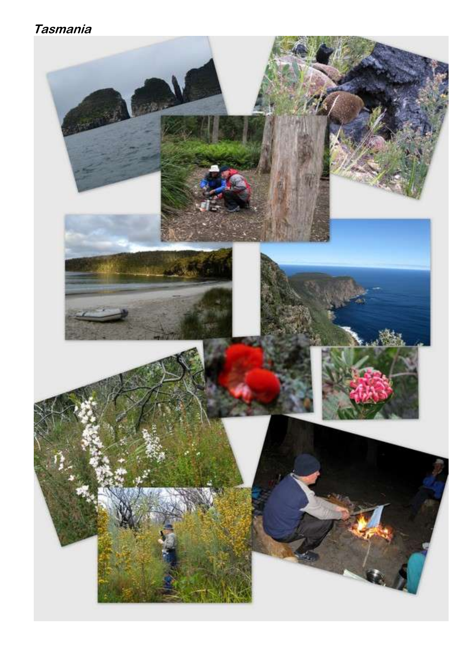### **Tasmania**

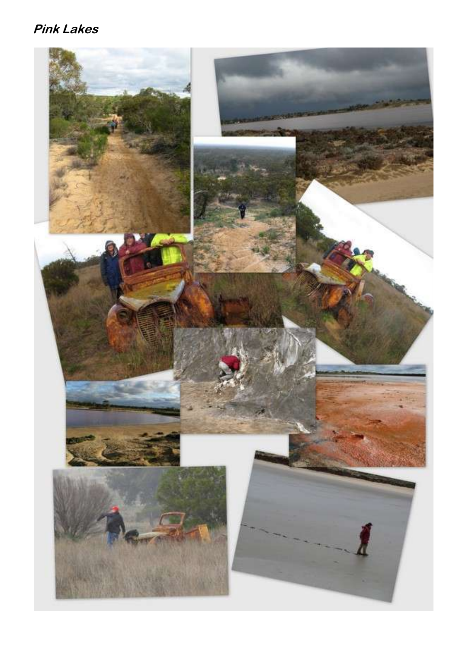## **Pink Lakes**

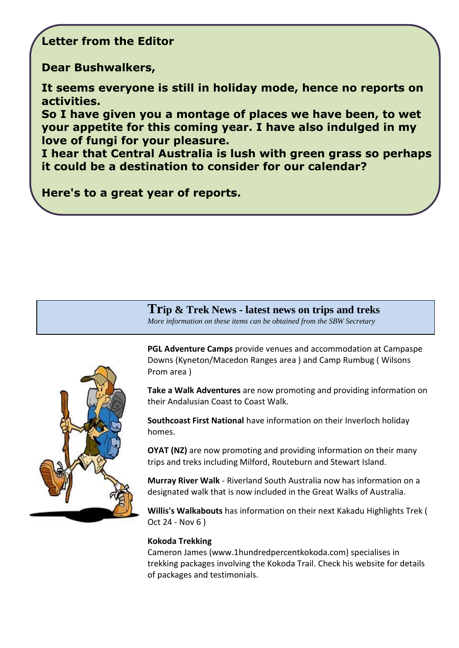#### **Letter from the Editor**

**Dear Bushwalkers,**

**It seems everyone is still in holiday mode, hence no reports on activities.**

**So I have given you a montage of places we have been, to wet your appetite for this coming year. I have also indulged in my love of fungi for your pleasure.** 

**I hear that Central Australia is lush with green grass so perhaps it could be a destination to consider for our calendar?**

**Here's to a great year of reports.**

**Trip & Trek News - latest news on trips and treks** *More information on these items can be obtained from the SBW Secretary* 



**PGL Adventure Camps** provide venues and accommodation at Campaspe Downs (Kyneton/Macedon Ranges area ) and Camp Rumbug ( Wilsons Prom area )

**Take a Walk Adventures** are now promoting and providing information on their Andalusian Coast to Coast Walk.

**Southcoast First National** have information on their Inverloch holiday homes.

**OYAT (NZ)** are now promoting and providing information on their many trips and treks including Milford, Routeburn and Stewart Island.

**Murray River Walk** - Riverland South Australia now has information on a designated walk that is now included in the Great Walks of Australia.

**Willis's Walkabouts** has information on their next Kakadu Highlights Trek ( Oct 24 - Nov 6 )

#### **Kokoda Trekking**

Cameron James (www.1hundredpercentkokoda.com) specialises in trekking packages involving the Kokoda Trail. Check his website for details of packages and testimonials.